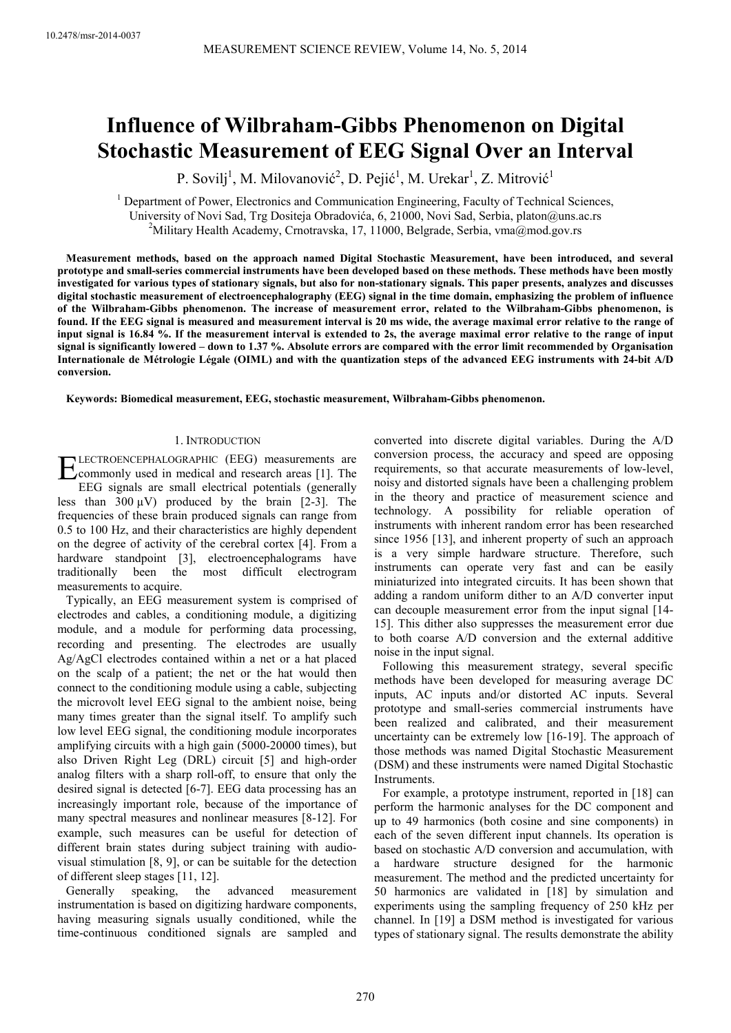# **Influence of Wilbraham-Gibbs Phenomenon on Digital Stochastic Measurement of EEG Signal Over an Interval**

P. Sovilj<sup>1</sup>, M. Milovanović<sup>2</sup>, D. Pejić<sup>1</sup>, M. Urekar<sup>1</sup>, Z. Mitrović<sup>1</sup>

<sup>1</sup> Department of Power, Electronics and Communication Engineering, Faculty of Technical Sciences, University of Novi Sad, Trg Dositeja Obradovića, 6, 21000, Novi Sad, Serbia, platon@uns.ac.rs <sup>2</sup>Military Health Academy, Crnotravska, 17, 11000, Belgrade, Serbia, vma@mod.gov.rs

**Measurement methods, based on the approach named Digital Stochastic Measurement, have been introduced, and several prototype and small-series commercial instruments have been developed based on these methods. These methods have been mostly investigated for various types of stationary signals, but also for non-stationary signals. This paper presents, analyzes and discusses digital stochastic measurement of electroencephalography (EEG) signal in the time domain, emphasizing the problem of influence of the Wilbraham-Gibbs phenomenon. The increase of measurement error, related to the Wilbraham-Gibbs phenomenon, is found. If the EEG signal is measured and measurement interval is 20 ms wide, the average maximal error relative to the range of input signal is 16.84 %. If the measurement interval is extended to 2s, the average maximal error relative to the range of input signal is significantly lowered – down to 1.37 %. Absolute errors are compared with the error limit recommended by Organisation Internationale de Métrologie Légale (OIML) and with the quantization steps of the advanced EEG instruments with 24-bit A/D conversion.** 

**Keywords: Biomedical measurement, EEG, stochastic measurement, Wilbraham-Gibbs phenomenon.** 

## 1. INTRODUCTION

LECTROENCEPHALOGRAPHIC (EEG) measurements are ELECTROENCEPHALOGRAPHIC (EEG) measurements are<br>
commonly used in medical and research areas [1]. The<br>
EEG signals are small electrical naturalistic (separally) EEG signals are small electrical potentials (generally less than  $300 \mu V$ ) produced by the brain [2-3]. The frequencies of these brain produced signals can range from 0.5 to 100 Hz, and their characteristics are highly dependent on the degree of activity of the cerebral cortex [4]. From a hardware standpoint [3], electroencephalograms have traditionally been the most difficult electrogram measurements to acquire.

Typically, an EEG measurement system is comprised of electrodes and cables, a conditioning module, a digitizing module, and a module for performing data processing, recording and presenting. The electrodes are usually Ag/AgCl electrodes contained within a net or a hat placed on the scalp of a patient; the net or the hat would then connect to the conditioning module using a cable, subjecting the microvolt level EEG signal to the ambient noise, being many times greater than the signal itself. To amplify such low level EEG signal, the conditioning module incorporates amplifying circuits with a high gain (5000-20000 times), but also Driven Right Leg (DRL) circuit [5] and high-order analog filters with a sharp roll-off, to ensure that only the desired signal is detected [6-7]. EEG data processing has an increasingly important role, because of the importance of many spectral measures and nonlinear measures [8-12]. For example, such measures can be useful for detection of different brain states during subject training with audiovisual stimulation [8, 9], or can be suitable for the detection of different sleep stages [11, 12].

Generally speaking, the advanced measurement instrumentation is based on digitizing hardware components, having measuring signals usually conditioned, while the time-continuous conditioned signals are sampled and converted into discrete digital variables. During the A/D conversion process, the accuracy and speed are opposing requirements, so that accurate measurements of low-level, noisy and distorted signals have been a challenging problem in the theory and practice of measurement science and technology. A possibility for reliable operation of instruments with inherent random error has been researched since 1956 [13], and inherent property of such an approach is a very simple hardware structure. Therefore, such instruments can operate very fast and can be easily miniaturized into integrated circuits. It has been shown that adding a random uniform dither to an A/D converter input can decouple measurement error from the input signal [14- 15]. This dither also suppresses the measurement error due to both coarse A/D conversion and the external additive noise in the input signal.

Following this measurement strategy, several specific methods have been developed for measuring average DC inputs, AC inputs and/or distorted AC inputs. Several prototype and small-series commercial instruments have been realized and calibrated, and their measurement uncertainty can be extremely low [16-19]. The approach of those methods was named Digital Stochastic Measurement (DSM) and these instruments were named Digital Stochastic Instruments.

For example, a prototype instrument, reported in [18] can perform the harmonic analyses for the DC component and up to 49 harmonics (both cosine and sine components) in each of the seven different input channels. Its operation is based on stochastic A/D conversion and accumulation, with a hardware structure designed for the harmonic measurement. The method and the predicted uncertainty for 50 harmonics are validated in [18] by simulation and experiments using the sampling frequency of 250 kHz per channel. In [19] a DSM method is investigated for various types of stationary signal. The results demonstrate the ability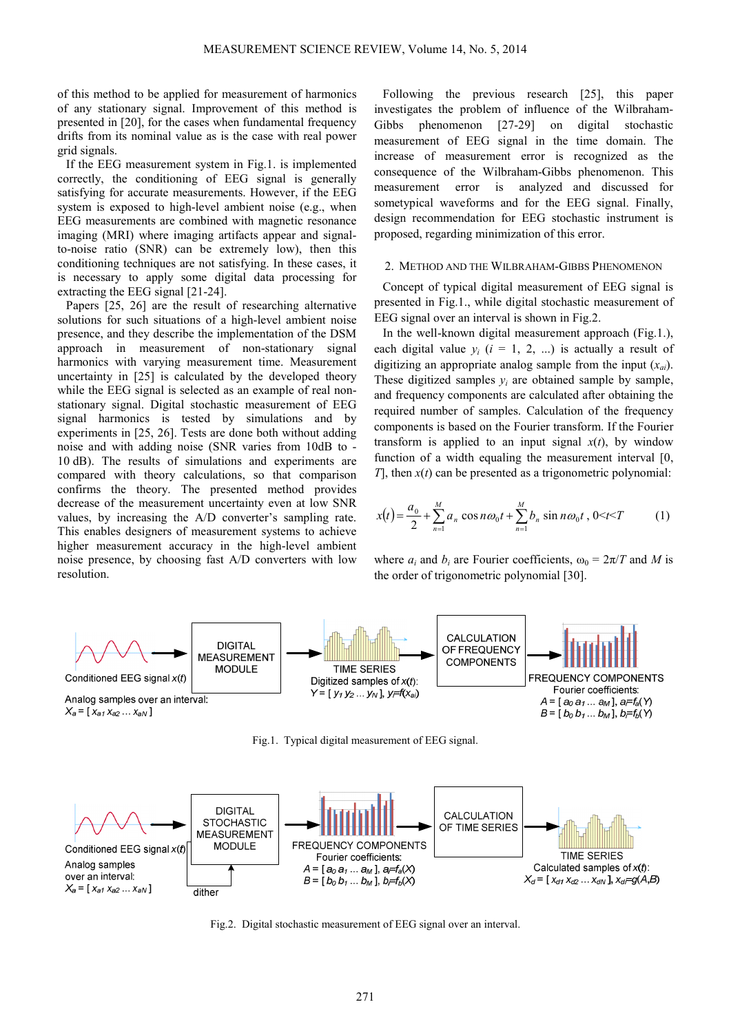of this method to be applied for measurement of harmonics of any stationary signal. Improvement of this method is presented in [20], for the cases when fundamental frequency drifts from its nominal value as is the case with real power grid signals.

If the EEG measurement system in Fig.1. is implemented correctly, the conditioning of EEG signal is generally satisfying for accurate measurements. However, if the EEG system is exposed to high-level ambient noise (e.g., when EEG measurements are combined with magnetic resonance imaging (MRI) where imaging artifacts appear and signalto-noise ratio (SNR) can be extremely low), then this conditioning techniques are not satisfying. In these cases, it is necessary to apply some digital data processing for extracting the EEG signal [21-24].

Papers [25, 26] are the result of researching alternative solutions for such situations of a high-level ambient noise presence, and they describe the implementation of the DSM approach in measurement of non-stationary signal harmonics with varying measurement time. Measurement uncertainty in [25] is calculated by the developed theory while the EEG signal is selected as an example of real nonstationary signal. Digital stochastic measurement of EEG signal harmonics is tested by simulations and by experiments in [25, 26]. Tests are done both without adding noise and with adding noise (SNR varies from 10dB to - 10 dB). The results of simulations and experiments are compared with theory calculations, so that comparison confirms the theory. The presented method provides decrease of the measurement uncertainty even at low SNR values, by increasing the A/D converter's sampling rate. This enables designers of measurement systems to achieve higher measurement accuracy in the high-level ambient noise presence, by choosing fast A/D converters with low resolution.

Following the previous research [25], this paper investigates the problem of influence of the Wilbraham-Gibbs phenomenon [27-29] on digital stochastic measurement of EEG signal in the time domain. The increase of measurement error is recognized as the consequence of the Wilbraham-Gibbs phenomenon. This measurement error is analyzed and discussed for sometypical waveforms and for the EEG signal. Finally, design recommendation for EEG stochastic instrument is proposed, regarding minimization of this error.

# 2. METHOD AND THE WILBRAHAM-GIBBS PHENOMENON

Concept of typical digital measurement of EEG signal is presented in Fig.1., while digital stochastic measurement of EEG signal over an interval is shown in Fig.2.

In the well-known digital measurement approach (Fig.1.), each digital value  $y_i$  ( $i = 1, 2, ...$ ) is actually a result of digitizing an appropriate analog sample from the input (*xai*). These digitized samples  $y_i$  are obtained sample by sample, and frequency components are calculated after obtaining the required number of samples. Calculation of the frequency components is based on the Fourier transform. If the Fourier transform is applied to an input signal  $x(t)$ , by window function of a width equaling the measurement interval [0, *T*], then *x*(*t*) can be presented as a trigonometric polynomial:

$$
x(t) = \frac{a_0}{2} + \sum_{n=1}^{M} a_n \cos n\omega_0 t + \sum_{n=1}^{M} b_n \sin n\omega_0 t, 0 < t < T
$$
 (1)

where  $a_i$  and  $b_i$  are Fourier coefficients,  $\omega_0 = 2\pi/T$  and M is the order of trigonometric polynomial [30].



Fig.1. Typical digital measurement of EEG signal.



Fig.2. Digital stochastic measurement of EEG signal over an interval.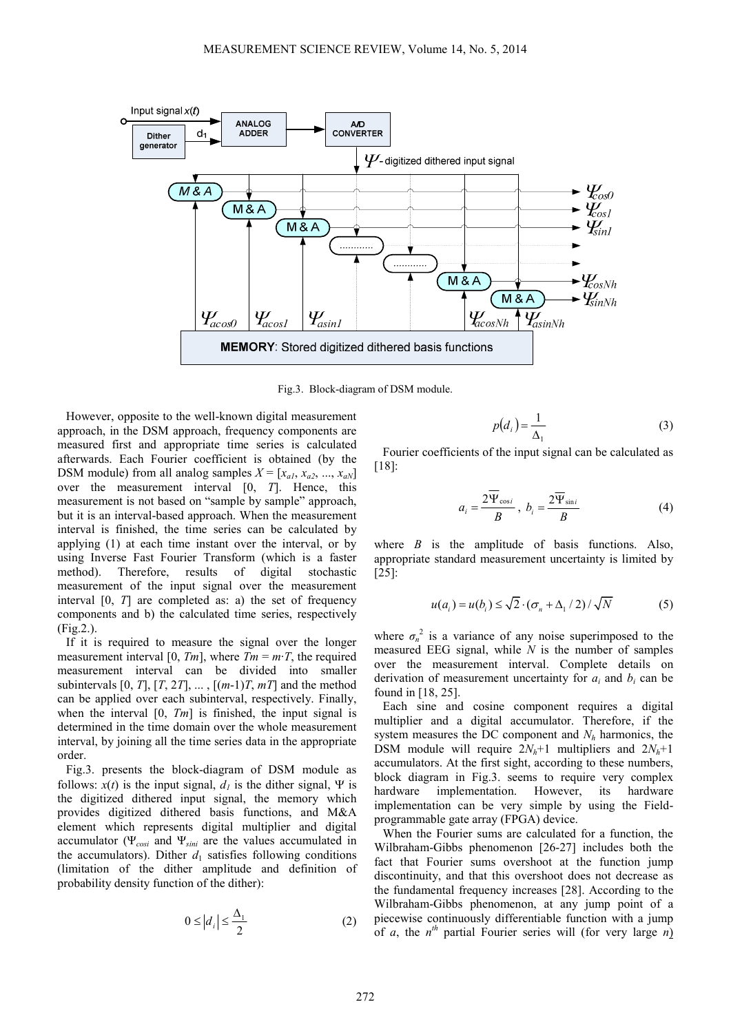

Fig.3. Block-diagram of DSM module.

However, opposite to the well-known digital measurement approach, in the DSM approach, frequency components are measured first and appropriate time series is calculated afterwards. Each Fourier coefficient is obtained (by the DSM module) from all analog samples  $X = [x_{a1}, x_{a2}, ..., x_{aN}]$ over the measurement interval [0, *T*]. Hence, this measurement is not based on "sample by sample" approach, but it is an interval-based approach. When the measurement interval is finished, the time series can be calculated by applying (1) at each time instant over the interval, or by using Inverse Fast Fourier Transform (which is a faster method). Therefore, results of digital stochastic measurement of the input signal over the measurement interval [0, *T*] are completed as: a) the set of frequency components and b) the calculated time series, respectively (Fig.2.).

If it is required to measure the signal over the longer measurement interval [0,  $Tm$ ], where  $Tm = m \cdot T$ , the required measurement interval can be divided into smaller subintervals  $[0, T]$ ,  $[T, 2T]$ , ...,  $[(m-1)T, mT]$  and the method can be applied over each subinterval, respectively. Finally, when the interval [0, *Tm*] is finished, the input signal is determined in the time domain over the whole measurement interval, by joining all the time series data in the appropriate order.

Fig.3. presents the block-diagram of DSM module as follows:  $x(t)$  is the input signal,  $d_i$  is the dither signal,  $\Psi$  is the digitized dithered input signal, the memory which provides digitized dithered basis functions, and M&A element which represents digital multiplier and digital accumulator (Ψ*cosi* and Ψ*sini* are the values accumulated in the accumulators). Dither  $d_1$  satisfies following conditions (limitation of the dither amplitude and definition of probability density function of the dither):

$$
0 \le |d_i| \le \frac{\Delta_1}{2} \tag{2}
$$

$$
p(d_i) = \frac{1}{\Delta_1} \tag{3}
$$

Fourier coefficients of the input signal can be calculated as [18]:

$$
a_i = \frac{2\overline{\Psi}_{\cos i}}{B}, \ b_i = \frac{2\overline{\Psi}_{\sin i}}{B} \tag{4}
$$

where  $B$  is the amplitude of basis functions. Also, appropriate standard measurement uncertainty is limited by [25]:

$$
u(a_i) = u(b_i) \le \sqrt{2} \cdot (\sigma_n + \Delta_1/2) / \sqrt{N}
$$
 (5)

where  $\sigma_n^2$  is a variance of any noise superimposed to the measured EEG signal, while *N* is the number of samples over the measurement interval. Complete details on derivation of measurement uncertainty for  $a_i$  and  $b_i$  can be found in [18, 25].

Each sine and cosine component requires a digital multiplier and a digital accumulator. Therefore, if the system measures the DC component and *Nh* harmonics, the DSM module will require  $2N_h+1$  multipliers and  $2N_h+1$ accumulators. At the first sight, according to these numbers, block diagram in Fig.3. seems to require very complex hardware implementation. However, its hardware implementation can be very simple by using the Fieldprogrammable gate array (FPGA) device.

When the Fourier sums are calculated for a function, the Wilbraham-Gibbs phenomenon [26-27] includes both the fact that Fourier sums overshoot at the function jump discontinuity, and that this overshoot does not decrease as the fundamental frequency increases [28]. According to the Wilbraham-Gibbs phenomenon, at any jump point of a piecewise continuously differentiable function with a jump of *a*, the *n th* partial Fourier series will (for very large *n*)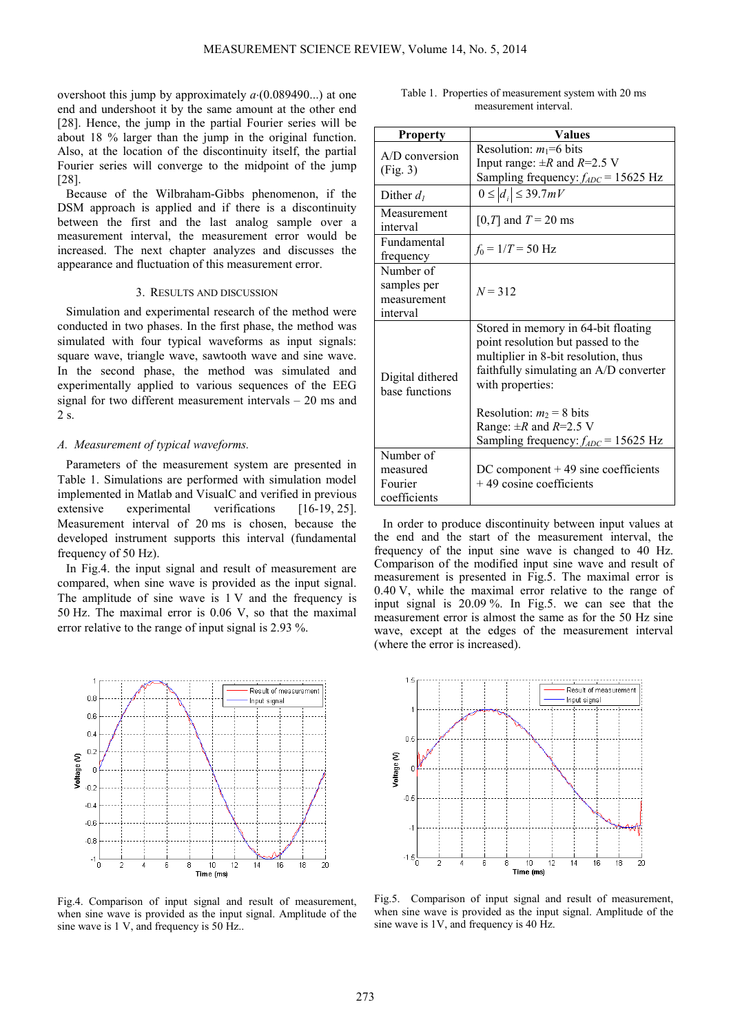overshoot this jump by approximately *a*⋅(0.089490...) at one end and undershoot it by the same amount at the other end [28]. Hence, the jump in the partial Fourier series will be about 18 % larger than the jump in the original function. Also, at the location of the discontinuity itself, the partial Fourier series will converge to the midpoint of the jump [28].

Because of the Wilbraham-Gibbs phenomenon, if the DSM approach is applied and if there is a discontinuity between the first and the last analog sample over a measurement interval, the measurement error would be increased. The next chapter analyzes and discusses the appearance and fluctuation of this measurement error.

## 3. RESULTS AND DISCUSSION

Simulation and experimental research of the method were conducted in two phases. In the first phase, the method was simulated with four typical waveforms as input signals: square wave, triangle wave, sawtooth wave and sine wave. In the second phase, the method was simulated and experimentally applied to various sequences of the EEG signal for two different measurement intervals – 20 ms and 2 s.

## *A. Measurement of typical waveforms.*

Parameters of the measurement system are presented in Table 1. Simulations are performed with simulation model implemented in Matlab and VisualC and verified in previous extensive experimental verifications [16-19, 25]. Measurement interval of 20 ms is chosen, because the developed instrument supports this interval (fundamental frequency of 50 Hz).

In Fig.4. the input signal and result of measurement are compared, when sine wave is provided as the input signal. The amplitude of sine wave is 1 V and the frequency is 50 Hz. The maximal error is 0.06 V, so that the maximal error relative to the range of input signal is 2.93 %.



Fig.4. Comparison of input signal and result of measurement, when sine wave is provided as the input signal. Amplitude of the sine wave is 1 V, and frequency is 50 Hz...

| <b>Property</b>              | Values                                   |
|------------------------------|------------------------------------------|
| $A/D$ conversion<br>(Fig. 3) | Resolution: $m_1=6$ bits                 |
|                              | Input range: $\pm R$ and $R=2.5$ V       |
|                              | Sampling frequency: $f_{ADC}$ = 15625 Hz |
| Dither $d_1$                 | $0 \le  d_i  \le 39.7mV$                 |
| Measurement                  | [0,T] and $T = 20$ ms                    |
| interval                     |                                          |
| Fundamental                  | $f_0 = 1/T = 50$ Hz                      |
| frequency                    |                                          |
| Number of                    |                                          |
| samples per                  | $N = 312$                                |
| measurement                  |                                          |
| interval                     |                                          |
|                              | Stored in memory in 64-bit floating      |
|                              | point resolution but passed to the       |
|                              | multiplier in 8-bit resolution, thus     |
| Digital dithered             | faithfully simulating an A/D converter   |
| base functions               | with properties:                         |
|                              |                                          |
|                              | Resolution: $m_2 = 8$ bits               |
|                              | Range: $\pm R$ and $R=2.5$ V             |
|                              | Sampling frequency: $f_{ADC}$ = 15625 Hz |
| Number of                    |                                          |
| measured                     | $DC component + 49 sine coefficients$    |
| Fourier                      | $+49$ cosine coefficients                |
| coefficients                 |                                          |

In order to produce discontinuity between input values at the end and the start of the measurement interval, the frequency of the input sine wave is changed to 40 Hz. Comparison of the modified input sine wave and result of measurement is presented in Fig.5. The maximal error is 0.40 V, while the maximal error relative to the range of input signal is 20.09 %. In Fig.5. we can see that the measurement error is almost the same as for the 50 Hz sine wave, except at the edges of the measurement interval (where the error is increased).



Fig.5. Comparison of input signal and result of measurement, when sine wave is provided as the input signal. Amplitude of the sine wave is 1V, and frequency is 40 Hz.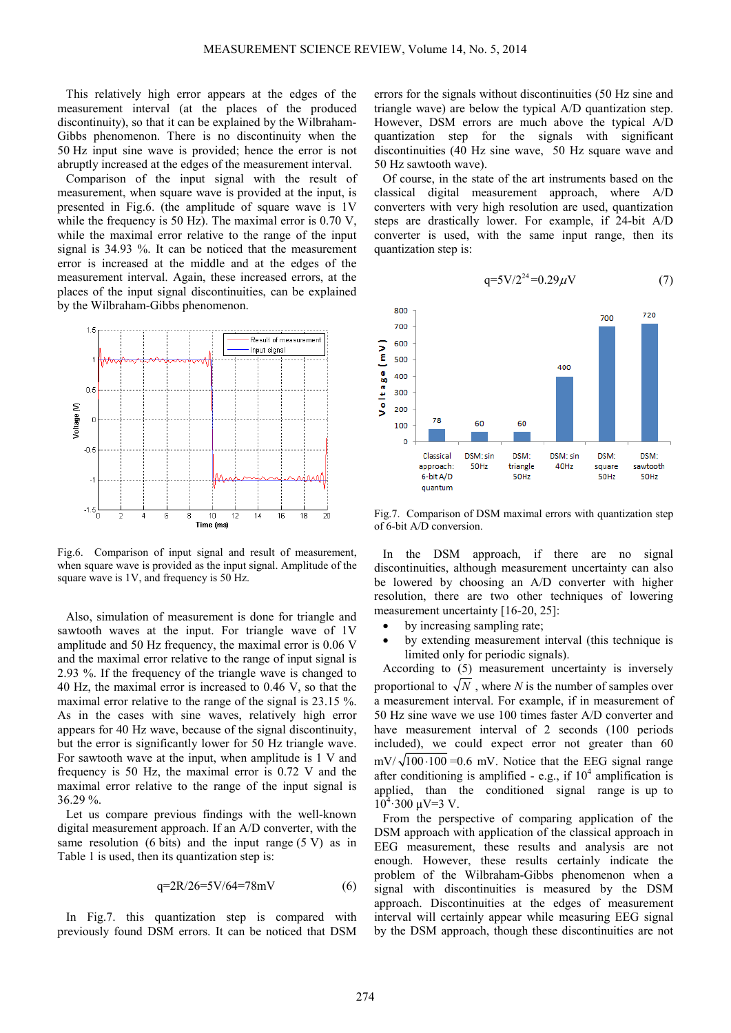This relatively high error appears at the edges of the measurement interval (at the places of the produced discontinuity), so that it can be explained by the Wilbraham-Gibbs phenomenon. There is no discontinuity when the 50 Hz input sine wave is provided; hence the error is not abruptly increased at the edges of the measurement interval.

Comparison of the input signal with the result of measurement, when square wave is provided at the input, is presented in Fig.6. (the amplitude of square wave is 1V while the frequency is 50 Hz). The maximal error is 0.70 V, while the maximal error relative to the range of the input signal is 34.93 %. It can be noticed that the measurement error is increased at the middle and at the edges of the measurement interval. Again, these increased errors, at the places of the input signal discontinuities, can be explained by the Wilbraham-Gibbs phenomenon.



Fig.6. Comparison of input signal and result of measurement, when square wave is provided as the input signal. Amplitude of the square wave is 1V, and frequency is 50 Hz.

Also, simulation of measurement is done for triangle and sawtooth waves at the input. For triangle wave of 1V amplitude and 50 Hz frequency, the maximal error is 0.06 V and the maximal error relative to the range of input signal is 2.93 %. If the frequency of the triangle wave is changed to 40 Hz, the maximal error is increased to 0.46 V, so that the maximal error relative to the range of the signal is 23.15 %. As in the cases with sine waves, relatively high error appears for 40 Hz wave, because of the signal discontinuity, but the error is significantly lower for 50 Hz triangle wave. For sawtooth wave at the input, when amplitude is 1 V and frequency is 50 Hz, the maximal error is 0.72 V and the maximal error relative to the range of the input signal is 36.29 %.

Let us compare previous findings with the well-known digital measurement approach. If an A/D converter, with the same resolution (6 bits) and the input range  $(5 V)$  as in Table 1 is used, then its quantization step is:

$$
q=2R/26=5V/64=78mV
$$
 (6)

In Fig.7. this quantization step is compared with previously found DSM errors. It can be noticed that DSM errors for the signals without discontinuities (50 Hz sine and triangle wave) are below the typical A/D quantization step. However, DSM errors are much above the typical A/D quantization step for the signals with significant discontinuities (40 Hz sine wave, 50 Hz square wave and 50 Hz sawtooth wave).

Of course, in the state of the art instruments based on the classical digital measurement approach, where A/D converters with very high resolution are used, quantization steps are drastically lower. For example, if 24-bit A/D converter is used, with the same input range, then its quantization step is:





Fig.7. Comparison of DSM maximal errors with quantization step of 6-bit A/D conversion.

In the DSM approach, if there are no signal discontinuities, although measurement uncertainty can also be lowered by choosing an A/D converter with higher resolution, there are two other techniques of lowering measurement uncertainty [16-20, 25]:

- by increasing sampling rate;
- by extending measurement interval (this technique is limited only for periodic signals).

According to (5) measurement uncertainty is inversely proportional to  $\sqrt{N}$ , where *N* is the number of samples over a measurement interval. For example, if in measurement of 50 Hz sine wave we use 100 times faster A/D converter and have measurement interval of 2 seconds (100 periods included), we could expect error not greater than 60  $mV/\sqrt{100 \cdot 100} = 0.6$  mV. Notice that the EEG signal range after conditioning is amplified - e.g., if  $10<sup>4</sup>$  amplification is applied, than the conditioned signal range is up to  $10^4$  300  $\mu$ V=3 V.

From the perspective of comparing application of the DSM approach with application of the classical approach in EEG measurement, these results and analysis are not enough. However, these results certainly indicate the problem of the Wilbraham-Gibbs phenomenon when a signal with discontinuities is measured by the DSM approach. Discontinuities at the edges of measurement interval will certainly appear while measuring EEG signal by the DSM approach, though these discontinuities are not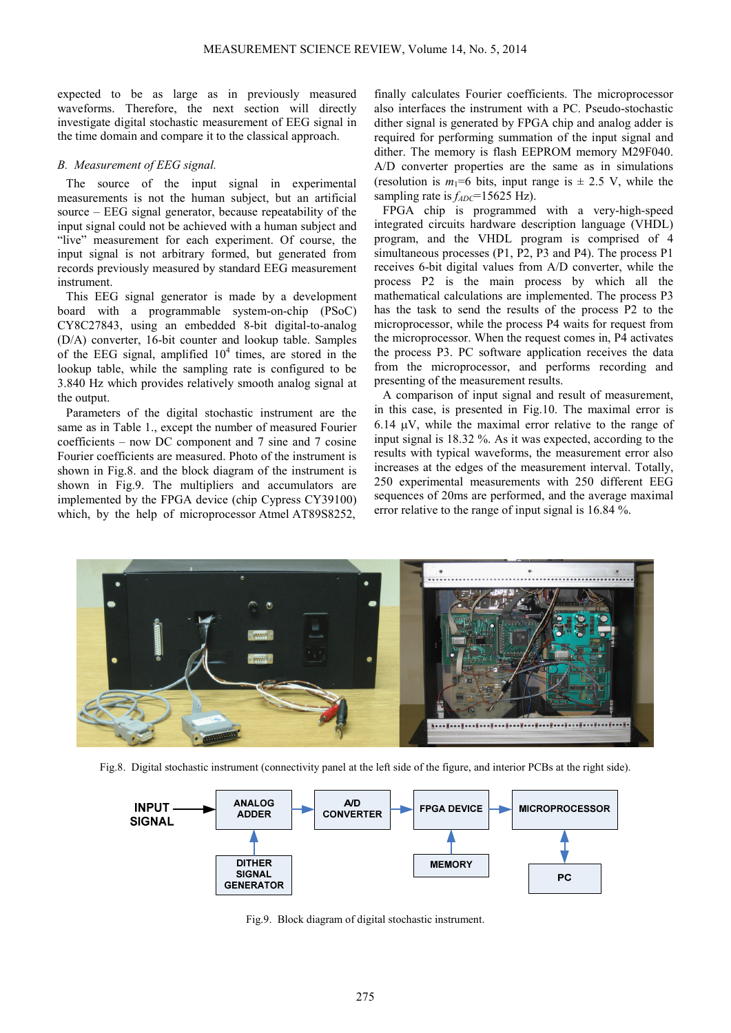expected to be as large as in previously measured waveforms. Therefore, the next section will directly investigate digital stochastic measurement of EEG signal in the time domain and compare it to the classical approach.

# *B. Measurement of EEG signal.*

The source of the input signal in experimental measurements is not the human subject, but an artificial source – EEG signal generator, because repeatability of the input signal could not be achieved with a human subject and "live" measurement for each experiment. Of course, the input signal is not arbitrary formed, but generated from records previously measured by standard EEG measurement instrument.

This EEG signal generator is made by a development board with a programmable system-on-chip (PSoC) CY8C27843, using an embedded 8-bit digital-to-analog (D/A) converter, 16-bit counter and lookup table. Samples of the EEG signal, amplified  $10<sup>4</sup>$  times, are stored in the lookup table, while the sampling rate is configured to be 3.840 Hz which provides relatively smooth analog signal at the output.

Parameters of the digital stochastic instrument are the same as in Table 1., except the number of measured Fourier coefficients – now DC component and 7 sine and 7 cosine Fourier coefficients are measured. Photo of the instrument is shown in Fig.8. and the block diagram of the instrument is shown in Fig.9. The multipliers and accumulators are implemented by the FPGA device (chip Cypress CY39100) which, by the help of microprocessor Atmel AT89S8252,

finally calculates Fourier coefficients. The microprocessor also interfaces the instrument with a PC. Pseudo-stochastic dither signal is generated by FPGA chip and analog adder is required for performing summation of the input signal and dither. The memory is flash EEPROM memory M29F040. A/D converter properties are the same as in simulations (resolution is  $m_1=6$  bits, input range is  $\pm$  2.5 V, while the sampling rate is  $f_{ADC}$ =15625 Hz).

FPGA chip is programmed with a very-high-speed integrated circuits hardware description language (VHDL) program, and the VHDL program is comprised of 4 simultaneous processes (P1, P2, P3 and P4). The process P1 receives 6-bit digital values from A/D converter, while the process P2 is the main process by which all the mathematical calculations are implemented. The process P3 has the task to send the results of the process P2 to the microprocessor, while the process P4 waits for request from the microprocessor. When the request comes in, P4 activates the process P3. PC software application receives the data from the microprocessor, and performs recording and presenting of the measurement results.

A comparison of input signal and result of measurement, in this case, is presented in Fig.10. The maximal error is 6.14 µV, while the maximal error relative to the range of input signal is 18.32 %. As it was expected, according to the results with typical waveforms, the measurement error also increases at the edges of the measurement interval. Totally, 250 experimental measurements with 250 different EEG sequences of 20ms are performed, and the average maximal error relative to the range of input signal is 16.84 %.



Fig.8. Digital stochastic instrument (connectivity panel at the left side of the figure, and interior PCBs at the right side).



Fig.9. Block diagram of digital stochastic instrument.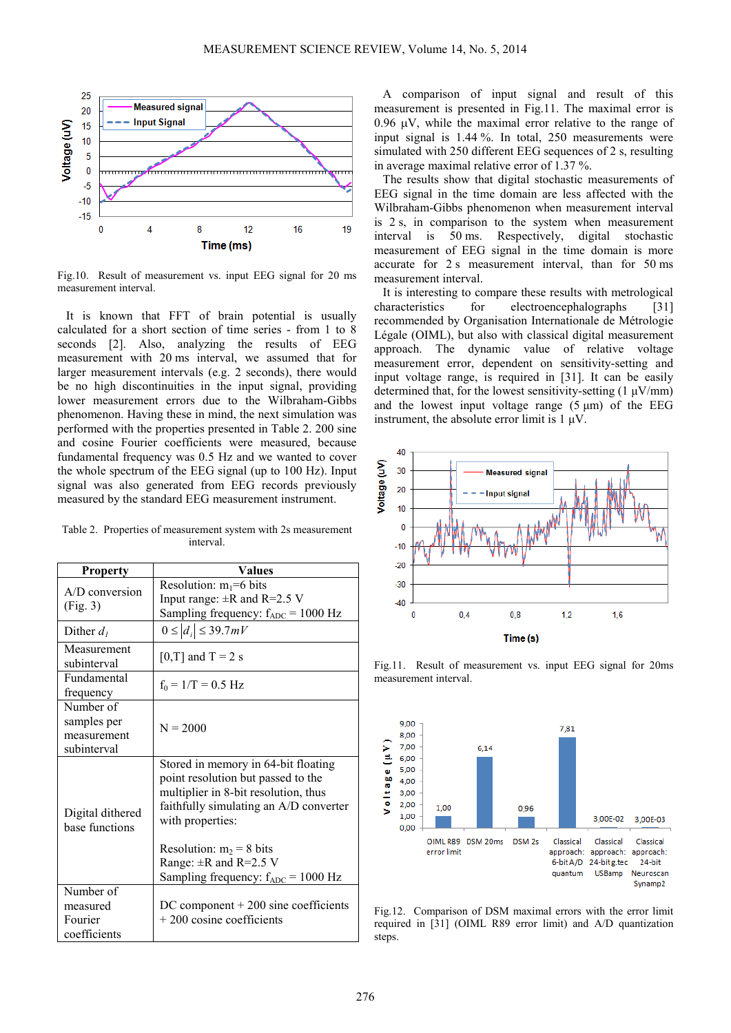

Fig.10. Result of measurement vs. input EEG signal for 20 ms measurement interval.

It is known that FFT of brain potential is usually calculated for a short section of time series - from 1 to 8 seconds [2]. Also, analyzing the results of EEG measurement with 20 ms interval, we assumed that for larger measurement intervals (e.g. 2 seconds), there would be no high discontinuities in the input signal, providing lower measurement errors due to the Wilbraham-Gibbs phenomenon. Having these in mind, the next simulation was performed with the properties presented in Table 2. 200 sine and cosine Fourier coefficients were measured, because fundamental frequency was 0.5 Hz and we wanted to cover the whole spectrum of the EEG signal (up to 100 Hz). Input signal was also generated from EEG records previously measured by the standard EEG measurement instrument.

Table 2. Properties of measurement system with 2s measurement interval.

| <b>Property</b>                                        | <b>Values</b>                                                                                                                                                                                                                                                                                  |
|--------------------------------------------------------|------------------------------------------------------------------------------------------------------------------------------------------------------------------------------------------------------------------------------------------------------------------------------------------------|
| $A/D$ conversion<br>(Fig. 3)                           | Resolution: $m_1=6$ bits<br>Input range: $\pm R$ and R=2.5 V<br>Sampling frequency: $f_{ADC} = 1000$ Hz                                                                                                                                                                                        |
| Dither $d_1$                                           | $0 \le  d_i  \le 39.7 mV$                                                                                                                                                                                                                                                                      |
| Measurement<br>subinterval                             | [0,T] and T = 2 s                                                                                                                                                                                                                                                                              |
| Fundamental<br>frequency                               | $f_0 = 1/T = 0.5$ Hz                                                                                                                                                                                                                                                                           |
| Number of<br>samples per<br>measurement<br>subinterval | $N = 2000$                                                                                                                                                                                                                                                                                     |
| Digital dithered<br>base functions                     | Stored in memory in 64-bit floating<br>point resolution but passed to the<br>multiplier in 8-bit resolution, thus<br>faithfully simulating an A/D converter<br>with properties:<br>Resolution: $m_2 = 8$ bits<br>Range: $\pm$ R and R=2.5 V<br>Sampling frequency: $f_{ADC} = 1000 \text{ Hz}$ |
| Number of<br>measured<br>Fourier<br>coefficients       | $DC component + 200 sine coefficients$<br>$+200$ cosine coefficients                                                                                                                                                                                                                           |

A comparison of input signal and result of this measurement is presented in Fig.11. The maximal error is 0.96  $\mu$ V, while the maximal error relative to the range of input signal is 1.44 %. In total, 250 measurements were simulated with 250 different EEG sequences of 2 s, resulting in average maximal relative error of 1.37 %.

The results show that digital stochastic measurements of EEG signal in the time domain are less affected with the Wilbraham-Gibbs phenomenon when measurement interval is 2 s, in comparison to the system when measurement interval is 50 ms. Respectively, digital stochastic measurement of EEG signal in the time domain is more accurate for 2 s measurement interval, than for 50 ms measurement interval.

It is interesting to compare these results with metrological characteristics for electroencephalographs [31] recommended by Organisation Internationale de Métrologie Légale (OIML), but also with classical digital measurement approach. The dynamic value of relative voltage measurement error, dependent on sensitivity-setting and input voltage range, is required in [31]. It can be easily determined that, for the lowest sensitivity-setting  $(1 \mu V/mm)$ and the lowest input voltage range  $(5 \mu m)$  of the EEG instrument, the absolute error limit is  $1 \mu V$ .





Fig.11. Result of measurement vs. input EEG signal for 20ms measurement interval.

Fig.12. Comparison of DSM maximal errors with the error limit required in [31] (OIML R89 error limit) and A/D quantization steps.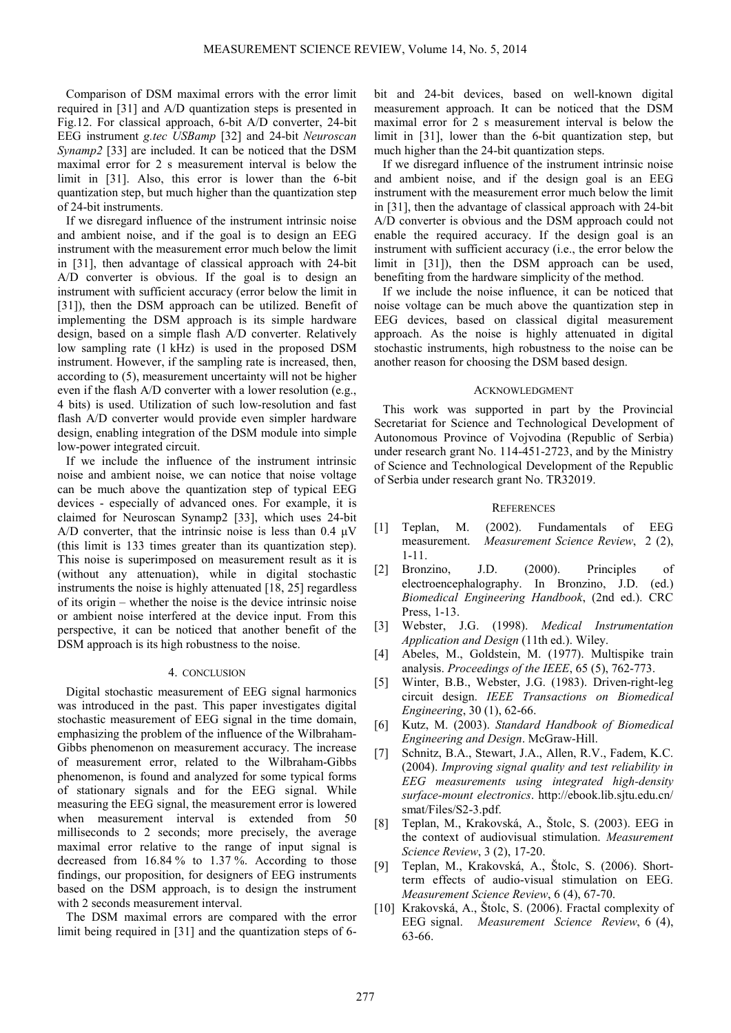Comparison of DSM maximal errors with the error limit required in [31] and A/D quantization steps is presented in Fig.12. For classical approach, 6-bit A/D converter, 24-bit EEG instrument *g.tec USBamp* [32] and 24-bit *Neuroscan Synamp2* [33] are included. It can be noticed that the DSM maximal error for 2 s measurement interval is below the limit in [31]. Also, this error is lower than the 6-bit quantization step, but much higher than the quantization step of 24-bit instruments.

If we disregard influence of the instrument intrinsic noise and ambient noise, and if the goal is to design an EEG instrument with the measurement error much below the limit in [31], then advantage of classical approach with 24-bit A/D converter is obvious. If the goal is to design an instrument with sufficient accuracy (error below the limit in [31]), then the DSM approach can be utilized. Benefit of implementing the DSM approach is its simple hardware design, based on a simple flash A/D converter. Relatively low sampling rate (1 kHz) is used in the proposed DSM instrument. However, if the sampling rate is increased, then, according to (5), measurement uncertainty will not be higher even if the flash A/D converter with a lower resolution (e.g., 4 bits) is used. Utilization of such low-resolution and fast flash A/D converter would provide even simpler hardware design, enabling integration of the DSM module into simple low-power integrated circuit.

If we include the influence of the instrument intrinsic noise and ambient noise, we can notice that noise voltage can be much above the quantization step of typical EEG devices - especially of advanced ones. For example, it is claimed for Neuroscan Synamp2 [33], which uses 24-bit A/D converter, that the intrinsic noise is less than  $0.4 \mu V$ (this limit is 133 times greater than its quantization step). This noise is superimposed on measurement result as it is (without any attenuation), while in digital stochastic instruments the noise is highly attenuated [18, 25] regardless of its origin – whether the noise is the device intrinsic noise or ambient noise interfered at the device input. From this perspective, it can be noticed that another benefit of the DSM approach is its high robustness to the noise.

### 4. CONCLUSION

Digital stochastic measurement of EEG signal harmonics was introduced in the past. This paper investigates digital stochastic measurement of EEG signal in the time domain, emphasizing the problem of the influence of the Wilbraham-Gibbs phenomenon on measurement accuracy. The increase of measurement error, related to the Wilbraham-Gibbs phenomenon, is found and analyzed for some typical forms of stationary signals and for the EEG signal. While measuring the EEG signal, the measurement error is lowered when measurement interval is extended from 50 milliseconds to 2 seconds; more precisely, the average maximal error relative to the range of input signal is decreased from 16.84 % to 1.37 %. According to those findings, our proposition, for designers of EEG instruments based on the DSM approach, is to design the instrument with 2 seconds measurement interval.

The DSM maximal errors are compared with the error limit being required in [31] and the quantization steps of 6bit and 24-bit devices, based on well-known digital measurement approach. It can be noticed that the DSM maximal error for 2 s measurement interval is below the limit in [31], lower than the 6-bit quantization step, but much higher than the 24-bit quantization steps.

If we disregard influence of the instrument intrinsic noise and ambient noise, and if the design goal is an EEG instrument with the measurement error much below the limit in [31], then the advantage of classical approach with 24-bit A/D converter is obvious and the DSM approach could not enable the required accuracy. If the design goal is an instrument with sufficient accuracy (i.e., the error below the limit in [31]), then the DSM approach can be used, benefiting from the hardware simplicity of the method.

If we include the noise influence, it can be noticed that noise voltage can be much above the quantization step in EEG devices, based on classical digital measurement approach. As the noise is highly attenuated in digital stochastic instruments, high robustness to the noise can be another reason for choosing the DSM based design.

#### ACKNOWLEDGMENT

This work was supported in part by the Provincial Secretariat for Science and Technological Development of Autonomous Province of Vojvodina (Republic of Serbia) under research grant No. 114-451-2723, and by the Ministry of Science and Technological Development of the Republic of Serbia under research grant No. TR32019.

#### **REFERENCES**

- [1] Teplan, M. (2002). Fundamentals of EEG measurement. *Measurement Science Review*, 2 (2), 1-11.
- [2] Bronzino, J.D. (2000). Principles of electroencephalography. In Bronzino, J.D. (ed.) *Biomedical Engineering Handbook*, (2nd ed.). CRC Press, 1-13.
- [3] Webster, J.G. (1998). *Medical Instrumentation Application and Design* (11th ed.). Wiley.
- [4] Abeles, M., Goldstein, M. (1977). Multispike train analysis. *Proceedings of the IEEE*, 65 (5), 762-773.
- [5] Winter, B.B., Webster, J.G. (1983). Driven-right-leg circuit design. *IEEE Transactions on Biomedical Engineering*, 30 (1), 62-66.
- [6] Kutz, M. (2003). *Standard Handbook of Biomedical Engineering and Design*. McGraw-Hill.
- [7] Schnitz, B.A., Stewart, J.A., Allen, R.V., Fadem, K.C. (2004). *Improving signal quality and test reliability in EEG measurements using integrated high-density surface-mount electronics*. http://ebook.lib.sjtu.edu.cn/ smat/Files/S2-3.pdf.
- [8] Teplan, M., Krakovská, A., Štolc, S. (2003). EEG in the context of audiovisual stimulation. *Measurement Science Review*, 3 (2), 17-20.
- [9] Teplan, M., Krakovská, A., Štolc, S. (2006). Shortterm effects of audio-visual stimulation on EEG. *Measurement Science Review*, 6 (4), 67-70.
- [10] Krakovská, A., Štolc, S. (2006). Fractal complexity of EEG signal. *Measurement Science Review*, 6 (4), 63-66.